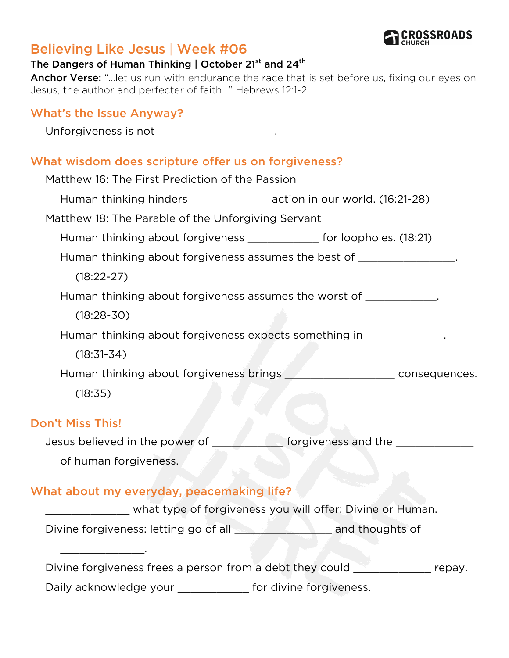

# Believing Like Jesus | Week #06

#### The Dangers of Human Thinking | October 21<sup>st</sup> and 24<sup>th</sup>

Anchor Verse: "...let us run with endurance the race that is set before us, fixing our eyes on Jesus, the author and perfecter of faith..." Hebrews 12:1-2

#### What's the Issue Anyway?

Unforgiveness is not

#### What wisdom does scripture offer us on forgiveness?

| Matthew 16: The First Prediction of the Passion                           |                                                                                  |
|---------------------------------------------------------------------------|----------------------------------------------------------------------------------|
| Human thinking hinders __________________ action in our world. (16:21-28) |                                                                                  |
| Matthew 18: The Parable of the Unforgiving Servant                        |                                                                                  |
| Human thinking about forgiveness ______________ for loopholes. (18:21)    |                                                                                  |
| Human thinking about forgiveness assumes the best of _________________.   |                                                                                  |
| $(18:22-27)$                                                              |                                                                                  |
| Human thinking about forgiveness assumes the worst of ____________.       |                                                                                  |
| $(18:28-30)$                                                              |                                                                                  |
| Human thinking about forgiveness expects something in ______________.     |                                                                                  |
| $(18:31 - 34)$                                                            |                                                                                  |
|                                                                           | Human thinking about forgiveness brings ___________________________consequences. |
| (18:35)                                                                   |                                                                                  |
| <b>Don't Miss This!</b>                                                   |                                                                                  |
| Jesus believed in the power of                                            | forgiveness and the                                                              |

us believed in the pow of human forgiveness.

## What about my everyday, peacemaking life?

\_\_\_\_\_\_\_\_\_\_\_\_\_.

\_\_\_\_\_\_\_\_\_\_\_\_\_ what type of forgiveness you will offer: Divine or Human.

Divine forgiveness: letting go of all **with an and thoughts of** 

Divine forgiveness frees a person from a debt they could example repay.

Daily acknowledge your \_\_\_\_\_\_\_\_\_\_\_\_\_ for divine forgiveness.